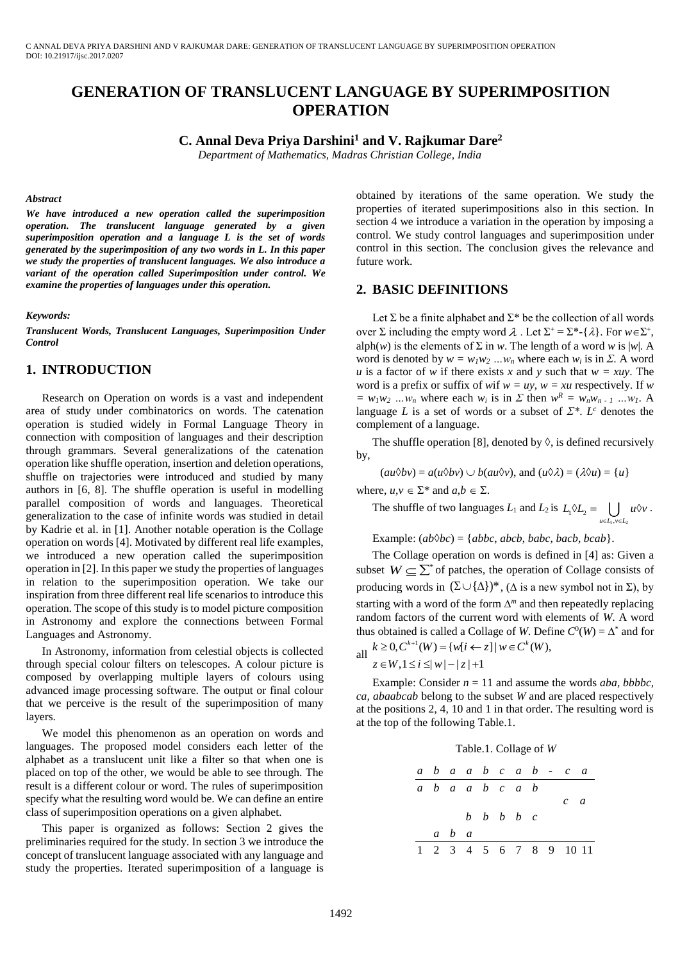# **GENERATION OF TRANSLUCENT LANGUAGE BY SUPERIMPOSITION OPERATION**

**C. Annal Deva Priya Darshini<sup>1</sup> and V. Rajkumar Dare<sup>2</sup>**

*Department of Mathematics, Madras Christian College, India*

#### *Abstract*

*We have introduced a new operation called the superimposition operation. The translucent language generated by a given superimposition operation and a language L is the set of words generated by the superimposition of any two words in L. In this paper we study the properties of translucent languages. We also introduce a variant of the operation called Superimposition under control. We examine the properties of languages under this operation.*

*Keywords:*

*Translucent Words, Translucent Languages, Superimposition Under Control*

# **1. INTRODUCTION**

Research on Operation on words is a vast and independent area of study under combinatorics on words. The catenation operation is studied widely in Formal Language Theory in connection with composition of languages and their description through grammars. Several generalizations of the catenation operation like shuffle operation, insertion and deletion operations, shuffle on trajectories were introduced and studied by many authors in [6, 8]. The shuffle operation is useful in modelling parallel composition of words and languages. Theoretical generalization to the case of infinite words was studied in detail by Kadrie et al. in [1]. Another notable operation is the Collage operation on words [4]. Motivated by different real life examples, we introduced a new operation called the superimposition operation in [2]. In this paper we study the properties of languages in relation to the superimposition operation. We take our inspiration from three different real life scenarios to introduce this operation. The scope of this study is to model picture composition in Astronomy and explore the connections between Formal Languages and Astronomy.

In Astronomy, information from celestial objects is collected through special colour filters on telescopes. A colour picture is composed by overlapping multiple layers of colours using advanced image processing software. The output or final colour that we perceive is the result of the superimposition of many layers.

We model this phenomenon as an operation on words and languages. The proposed model considers each letter of the alphabet as a translucent unit like a filter so that when one is placed on top of the other, we would be able to see through. The result is a different colour or word. The rules of superimposition specify what the resulting word would be. We can define an entire class of superimposition operations on a given alphabet.

This paper is organized as follows: Section 2 gives the preliminaries required for the study. In section 3 we introduce the concept of translucent language associated with any language and study the properties. Iterated superimposition of a language is

obtained by iterations of the same operation. We study the properties of iterated superimpositions also in this section. In section 4 we introduce a variation in the operation by imposing a control. We study control languages and superimposition under control in this section. The conclusion gives the relevance and future work.

# **2. BASIC DEFINITIONS**

Let  $\Sigma$  be a finite alphabet and  $\Sigma^*$  be the collection of all words over  $\Sigma$  including the empty word  $\lambda$ . Let  $\Sigma^+ = \Sigma^*$ -{ $\lambda$ }. For  $w \in \Sigma^+$ , alph(*w*) is the elements of  $\Sigma$  in *w*. The length of a word *w* is |*w*|. A word is denoted by  $w = w_l w_2 ... w_n$  where each  $w_i$  is in  $\Sigma$ . A word *u* is a factor of *w* if there exists *x* and *y* such that  $w = xuy$ . The word is a prefix or suffix of *w*if  $w = uy$ ,  $w = xu$  respectively. If *w*  $= w_l w_2 ... w_n$  where each  $w_i$  is in  $\sum$  then  $w^R = w_n w_{n-1} ... w_l$ . A language *L* is a set of words or a subset of  $\mathbb{Z}^*$ . *L*<sup>*c*</sup> denotes the complement of a language.

The shuffle operation [8], denoted by  $\Diamond$ , is defined recursively by,

 $(au\&b>v) = a(u\&b>v) \cup b(au\&v)$ , and  $(u\&clambda) = (\lambda\&u) = \{u\}$ 

where,  $u, v \in \Sigma^*$  and  $a, b \in \Sigma$ .

The shuffle of two languages  $L_1$  and  $L_2$  is  $\sum_{u \in L_1, v \in L_2}$  $L_1 \lozenge L_2 = \bigcup u \lozenge v$  $\Diamond L_2 = \bigcup u \Diamond v.$ 

 $\epsilon \in L_1, \nu \in I$ 

Example:  $(ab\&bc) = \{abbc, abcb, babc, bacb, bcab\}.$ 

The Collage operation on words is defined in [4] as: Given a subset  $W \subseteq \sum^*$  of patches, the operation of Collage consists of producing words in  $(\Sigma \cup \{\Delta\})^*$ ,  $(\Delta$  is a new symbol not in  $\Sigma$ ), by starting with a word of the form  $\Delta^m$  and then repeatedly replacing random factors of the current word with elements of *W*. A word thus obtained is called a Collage of *W*. Define  $C^0(W) = \Delta^*$  and for thus obtained is called a Collage of W. Def<br>
all  $k \ge 0$ ,  $C^{k+1}(W) = \{w[i \leftarrow z] | w \in C^k(W),\}$ *k*  $\geq 0, C^{k+1}(W) = \{w[i \leftarrow z] | w \in C^k(W)\}\$ *z* w botained is called a Collage of W.<br>  $k \ge 0, C^{k+1}(W) = \{w[i \leftarrow z] | w \in C^k(\ z \in W, 1 \le i \le |w| - |z| + 1 \}$ 

$$
K \geq 0, \qquad (W) = \{w[t \leftarrow z]\}
$$

$$
z \in W, 1 \leq i \leq |w| - |z| + 1
$$

Example: Consider  $n = 11$  and assume the words *aba, bbbbc, ca, abaabcab* belong to the subset *W* and are placed respectively at the positions 2, 4, 10 and 1 in that order. The resulting word is at the top of the following Table.1.



| $a$ | $b$ | $a$ | $a$ | $b$ | $c$ | $a$ | $b$ | $-$ | $c$  | $a$  |
|-----|-----|-----|-----|-----|-----|-----|-----|-----|------|------|
| $a$ | $b$ | $a$ | $a$ | $b$ | $c$ | $a$ |     |     |      |      |
| $b$ | $b$ | $b$ | $b$ | $c$ | $a$ |     |     |     |      |      |
| $a$ | $b$ | $a$ | $a$ | $b$ | $c$ |     |     |     |      |      |
| $a$ | $b$ | $a$ | $a$ | $a$ | $a$ |     |     |     |      |      |
| $1$ | $2$ | $3$ | $4$ | $5$ | $6$ | $7$ | $8$ | $9$ | $10$ | $11$ |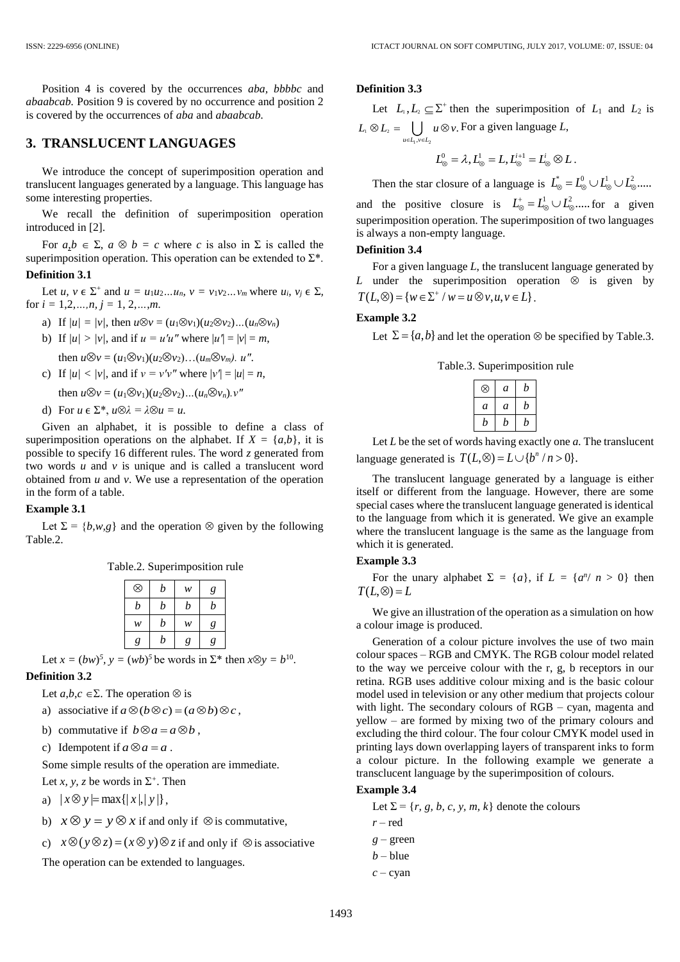Position 4 is covered by the occurrences *aba, bbbbc* and *abaabcab.* Position 9 is covered by no occurrence and position 2 is covered by the occurrences of *aba* and *abaabcab.*

# **3. TRANSLUCENT LANGUAGES**

We introduce the concept of superimposition operation and translucent languages generated by a language. This language has some interesting properties.

We recall the definition of superimposition operation introduced in [2].

For  $a, b \in \Sigma$ ,  $a \otimes b = c$  where *c* is also in  $\Sigma$  is called the superimposition operation. This operation can be extended to  $\Sigma^*$ . **Definition 3.1**

Let *u*,  $v \in \Sigma^+$  and  $u = u_1 u_2 ... u_n$ ,  $v = v_1 v_2 ... v_m$  where  $u_i, v_j \in \Sigma$ , for  $i = 1, 2, \ldots, n, j = 1, 2, \ldots, m$ .

- a) If  $|u| = |v|$ , then  $u \otimes v = (u_1 \otimes v_1)(u_2 \otimes v_2)...(u_n \otimes v_n)$
- b) If  $|u| > |v|$ , and if  $u = u'u''$  where  $|u'| = |v| = m$ , then  $u \otimes v = (u_1 \otimes v_1)(u_2 \otimes v_2)...(u_m \otimes v_m)$ .  $u''$ .
- c) If  $|u| < |v|$ , and if  $v = v'v''$  where  $|v'| = |u| = n$ ,

then  $u \otimes v = (u_1 \otimes v_1)(u_2 \otimes v_2)...(u_n \otimes v_n)$ .  $v''$ 

d) For  $u \in \Sigma^*$ ,  $u \otimes \lambda = \lambda \otimes u = u$ .

Given an alphabet, it is possible to define a class of superimposition operations on the alphabet. If  $X = \{a,b\}$ , it is possible to specify 16 different rules. The word *z* generated from two words *u* and *v* is unique and is called a translucent word obtained from *u* and *v*. We use a representation of the operation in the form of a table.

## **Example 3.1**

Let  $\Sigma = \{b, w, g\}$  and the operation  $\otimes$  given by the following Table.2.

| ⊗ | b | w | g |
|---|---|---|---|
| b | b | b | b |
| w | b | w | g |
| g | b | g | g |

Let  $x = (bw)^5$ ,  $y = (wb)^5$  be words in  $\Sigma^*$  then  $x \otimes y = b^{10}$ . **Definition 3.2**

Let  $a,b,c \in \Sigma$ . The operation  $\otimes$  is

- a) associative if  $a \otimes (b \otimes c) = (a \otimes b) \otimes c$ ,
- b) commutative if  $b \otimes a = a \otimes b$ ,
- c) Idempotent if  $a \otimes a = a$ .

Some simple results of the operation are immediate.

Let *x*, *y*, *z* be words in  $\Sigma^+$ . Then

- a)  $|x \otimes y| = \max\{|x|, |y|\},$
- b)  $x \otimes y = y \otimes x$  if and only if  $\otimes$  is commutative,

c)  $x \otimes (y \otimes z) = (x \otimes y) \otimes z$  if and only if  $\otimes$  is associative

The operation can be extended to languages.

#### **Definition 3.3**

Let  $L_1, L_2 \subseteq \Sigma^+$  then the superimposition of  $L_1$  and  $L_2$  is  $\displaystyle \sum_{u_1} \bigotimes L_2 = \bigcup_{u \in L_1, v \in L_2}$ .  $u \in L_1, v \in L$  $L_1 \otimes L_2 = \bigcup u \otimes v$  $\epsilon L_1, \nu \in L$  $\otimes L_{2} = \bigcup u \otimes v$ . For a given language L,

$$
L^0_{\otimes} = \lambda, L^1_{\otimes} = L, L^{i+1}_{\otimes} = L^i_{\otimes} \otimes L.
$$

Then the star closure of a language is  $L^*_{\otimes} = L^0_{\otimes} \cup L^1_{\otimes} \cup L^2_{\otimes} \dots$ 

and the positive closure is  $L^+_{\otimes} = L^1_{\otimes} \cup L^2_{\otimes} \dots$  for a given superimposition operation. The superimposition of two languages is always a non-empty language.

# **Definition 3.4**

For a given language *L*, the translucent language generated by *L* under the superimposition operation  $\otimes$  is given by  $T(L, \otimes) = \{ w \in \Sigma^+ / w = u \otimes v, u, v \in L \}.$ 

# **Example 3.2**

Let  $\Sigma = \{a, b\}$  and let the operation  $\otimes$  be specified by Table.3.

|  | Table.3. Superimposition rule |  |
|--|-------------------------------|--|
|  |                               |  |

| ⊗ | a | h |
|---|---|---|
| a | a | n |
| n | n | n |

Let *L* be the set of words having exactly one *a.* The translucent language generated is  $T(L, \otimes) = L \cup \{b^n / n > 0\}.$ 

The translucent language generated by a language is either itself or different from the language. However, there are some special cases where the translucent language generated is identical to the language from which it is generated. We give an example where the translucent language is the same as the language from which it is generated.

# **Example 3.3**

For the unary alphabet  $\Sigma = \{a\}$ , if  $L = \{a^n / n > 0\}$  then  $T(L, \otimes) = L$ 

We give an illustration of the operation as a simulation on how a colour image is produced.

Generation of a colour picture involves the use of two main colour spaces – RGB and CMYK. The RGB colour model related to the way we perceive colour with the r, g, b receptors in our retina. RGB uses additive colour mixing and is the basic colour model used in television or any other medium that projects colour with light. The secondary colours of RGB – cyan, magenta and yellow – are formed by mixing two of the primary colours and excluding the third colour. The four colour CMYK model used in printing lays down overlapping layers of transparent inks to form a colour picture. In the following example we generate a transclucent language by the superimposition of colours.

## **Example 3.4**

Let  $\Sigma = \{r, g, b, c, y, m, k\}$  denote the colours

- *r* red
- *g* green
- $b blue$
- *c* cyan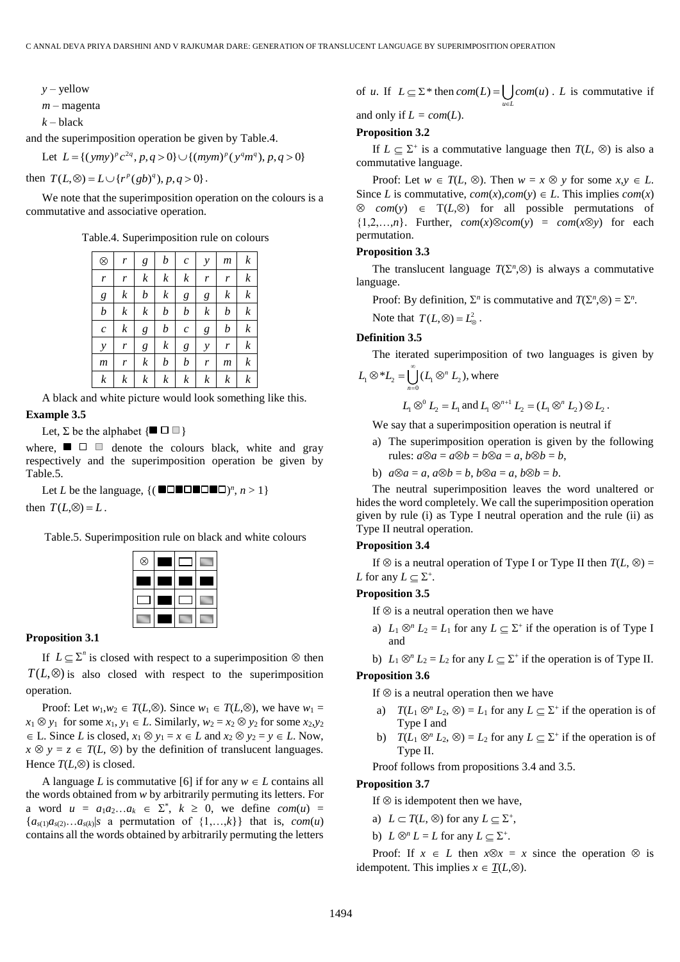*y* – yellow

*m* – magenta

 $k -$ black

and the superimposition operation be given by Table.4.

Let  $L = \{ (ymy)^p c^2 \}$ superimposition operation be given by Table.4.<br> $L = \{ (ymy)^p c^{2q}, p, q > 0 \} \cup \{ (mym)^p (y^q m^q), p, q > 0 \}$ 

then  $T(L, \otimes) = L \cup \{r^p(gb)^q, p, q > 0\}$ .

We note that the superimposition operation on the colours is a commutative and associative operation.

Table.4. Superimposition rule on colours

| $^{\circledR}$   | r                | g                | b                | $\boldsymbol{c}$ | y             | m              | k                |
|------------------|------------------|------------------|------------------|------------------|---------------|----------------|------------------|
| r                | r                | $\boldsymbol{k}$ | $\boldsymbol{k}$ | $\boldsymbol{k}$ | r             | r              | k                |
| $\boldsymbol{g}$ | $\boldsymbol{k}$ | b                | k                | g                | g             | k              | k                |
| b                | $\boldsymbol{k}$ | k                | b                | b                | k             | b              | k                |
| $\boldsymbol{c}$ | $\boldsymbol{k}$ | g                | $\boldsymbol{b}$ | $\boldsymbol{c}$ | g             | b              | k                |
| $\mathcal{Y}$    | r                | g                | $\boldsymbol{k}$ | g                | $\mathcal{Y}$ | r              | $\boldsymbol{k}$ |
| $\mathfrak{m}$   | r                | k                | b                | b                | r             | $\mathfrak{m}$ | $\boldsymbol{k}$ |
| k                | $\boldsymbol{k}$ | $\boldsymbol{k}$ | k                | k                | k             | k              | k                |

A black and white picture would look something like this. **Example 3.5**

Let,  $\Sigma$  be the alphabet  $\{\blacksquare \square \square \}$ 

where,  $\blacksquare$   $\square$   $\square$  denote the colours black, white and gray respectively and the superimposition operation be given by Table.5.

Let *L* be the language,  $\{(\blacksquare \square \blacksquare \square \blacksquare \square \blacksquare \square)$ <sup>n</sup>,  $n > 1\}$ then  $T(L, \otimes) = L$ .

Table.5. Superimposition rule on black and white colours

| ⊗ |  |  |
|---|--|--|
|   |  |  |
|   |  |  |
|   |  |  |

#### **Proposition 3.1**

If  $L \subseteq \Sigma^n$  is closed with respect to a superimposition  $\otimes$  then  $T(L, \otimes)$  is also closed with respect to the superimposition operation.

Proof: Let  $w_1, w_2 \in T(L, \otimes)$ . Since  $w_1 \in T(L, \otimes)$ , we have  $w_1 =$  $x_1 \otimes y_1$  for some  $x_1, y_1 \in L$ . Similarly,  $w_2 = x_2 \otimes y_2$  for some  $x_2, y_2$  $\in$  L. Since *L* is closed,  $x_1 \otimes y_1 = x \in L$  and  $x_2 \otimes y_2 = y \in L$ . Now,  $x \otimes y = z \in T(L, \otimes)$  by the definition of translucent languages. Hence  $T(L,\otimes)$  is closed.

A language *L* is commutative [6] if for any  $w \in L$  contains all the words obtained from *w* by arbitrarily permuting its letters. For a word  $u = a_1 a_2 ... a_k \in \Sigma^*$ ,  $k \ge 0$ , we define  $com(u) =$  ${a_{s(1)}a_{s(2)}...a_{s(k)}|s}$  a permutation of  ${1,...,k}$  that is, *com(u)* contains all the words obtained by arbitrarily permuting the letters

of *u*. If  $L \subseteq \Sigma^*$  then  $com(L) = \begin{cases} \complement com(u) \end{cases}$ *u L*  $com(L) = \int com(u)$ ı€  $=$   $\int$  *com*(*u*). *L* is commutative if

and only if  $L = com(L)$ .

# **Proposition 3.2**

If  $L \subseteq \Sigma^+$  is a commutative language then  $T(L, \otimes)$  is also a commutative language.

Proof: Let  $w \in T(L, \otimes)$ . Then  $w = x \otimes y$  for some  $x, y \in L$ . Since *L* is commutative,  $com(x), com(y) \in L$ . This implies  $com(x)$  $\otimes$  *com(y)*  $\in$  T(*L*, $\otimes$ ) for all possible permutations of  ${1,2,...,n}$ . Further,  $com(x) \otimes com(y) = com(x \otimes y)$  for each permutation.

#### **Proposition 3.3**

The translucent language  $T(\Sigma^n, \otimes)$  is always a commutative language.

Proof: By definition,  $\Sigma^n$  is commutative and  $T(\Sigma^n, \otimes) = \Sigma^n$ .

Note that  $T(L, \otimes) = L^2_{\otimes}$ .

# **Definition 3.5**

The iterated superimposition of two languages is given by  $L_1 \otimes L_2 = \bigcup_{n=0}^{\infty} (L_1 \otimes^n L_2),$  $\otimes^* L_2 = \bigcup_{n=0}^{\infty} (L_1 \otimes^n L_2)$ , where

$$
L_1 \otimes^0 L_2 = L_1
$$
 and  $L_1 \otimes^{n+1} L_2 = (L_1 \otimes^n L_2) \otimes L_2$ .

We say that a superimposition operation is neutral if

- a) The superimposition operation is given by the following rules:  $a \otimes a = a \otimes b = b \otimes a = a, b \otimes b = b$ ,
- b)  $a\otimes a = a$ ,  $a\otimes b = b$ ,  $b\otimes a = a$ ,  $b\otimes b = b$ .

The neutral superimposition leaves the word unaltered or hides the word completely. We call the superimposition operation given by rule (i) as Type I neutral operation and the rule (ii) as Type II neutral operation.

# **Proposition 3.4**

If  $\otimes$  is a neutral operation of Type I or Type II then  $T(L, \otimes) =$ *L* for any  $L \subseteq \Sigma^+$ .

## **Proposition 3.5**

If  $\otimes$  is a neutral operation then we have

a)  $L_1 \otimes^n L_2 = L_1$  for any  $L \subseteq \Sigma^+$  if the operation is of Type I and

b)  $L_1 \otimes^n L_2 = L_2$  for any  $L \subseteq \Sigma^+$  if the operation is of Type II.

#### **Proposition 3.6**

If  $\otimes$  is a neutral operation then we have

- a)  $T(L_1 \otimes^n L_2, \otimes) = L_1$  for any  $L \subseteq \Sigma^+$  if the operation is of Type I and
- b)  $T(L_1 \otimes^n L_2, \otimes) = L_2$  for any  $L \subseteq \Sigma^+$  if the operation is of Type II.

Proof follows from propositions 3.4 and 3.5.

# **Proposition 3.7**

If  $\otimes$  is idempotent then we have,

a)  $L \subset T(L, \otimes)$  for any  $L \subseteq \Sigma^+,$ 

b)  $L \otimes^n L = L$  for any  $L \subseteq \Sigma^+$ .

Proof: If  $x \in L$  then  $x \otimes x = x$  since the operation  $\otimes$  is idempotent. This implies  $x \in T(L, \otimes)$ .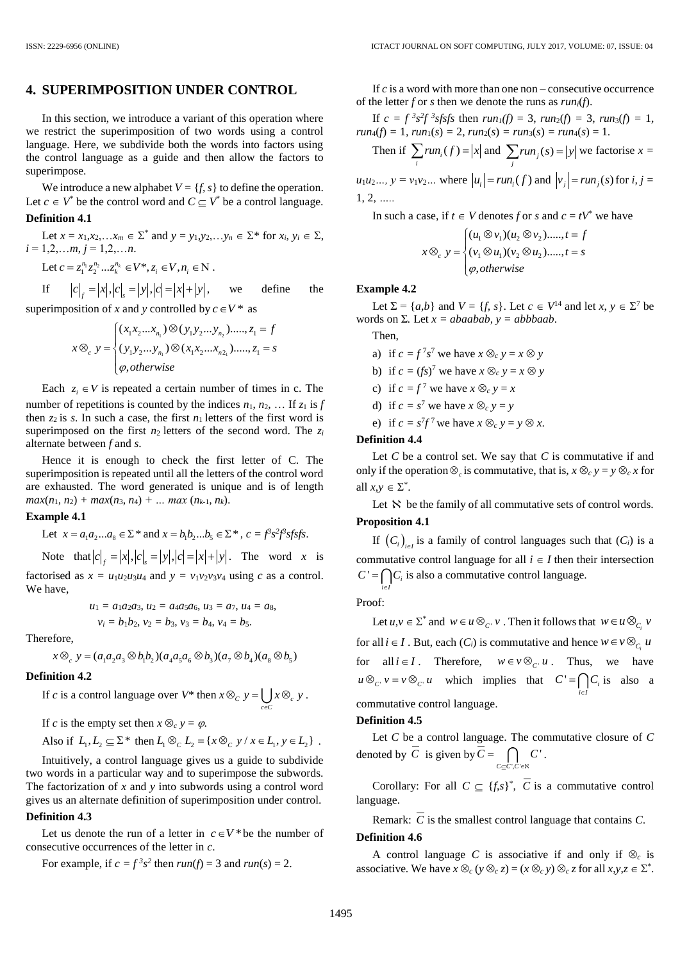# **4. SUPERIMPOSITION UNDER CONTROL**

In this section, we introduce a variant of this operation where we restrict the superimposition of two words using a control language. Here, we subdivide both the words into factors using the control language as a guide and then allow the factors to superimpose.

We introduce a new alphabet  $V = \{f, s\}$  to define the operation. Let  $c \in V^*$  be the control word and  $C \subseteq V^*$  be a control language. **Definition 4.1**

Let 
$$
x = x_1, x_2, ... x_m \in \Sigma^*
$$
 and  $y = y_1, y_2, ... y_n \in \Sigma^*$  for  $x_i, y_i \in \Sigma$ ,  
\n $i = 1, 2, ... m, j = 1, 2, ... n$ .  
\nLet  $c = z_1^{n_1} z_2^{n_2} ... z_k^{n_k} \in V^*$ ,  $z_i \in V, n_i \in \mathbb{N}$ .

If  $c|_{f} = |x|, |c|_{s} = |y|, |c| = |x| + |y|$ , we define the

superimposition of *x* and *y* controlled by 
$$
c \in V^*
$$
 as  
\n
$$
x \otimes_c y = \begin{cases} (x_1 x_2 ... x_{n_1}) \otimes (y_1 y_2 ... y_{n_2}) ......, z_1 = f \\ (y_1 y_2 ... y_{n_1}) \otimes (x_1 x_2 ... x_{n_2}) ......, z_1 = s \\ \varphi, otherwise \end{cases}
$$

Each  $z_i \in V$  is repeated a certain number of times in c. The number of repetitions is counted by the indices  $n_1, n_2, \ldots$  If  $z_1$  is  $f$ then  $z_2$  is *s*. In such a case, the first  $n_1$  letters of the first word is superimposed on the first  $n_2$  letters of the second word. The  $z_i$ alternate between *f* and *s*.

Hence it is enough to check the first letter of C. The superimposition is repeated until all the letters of the control word are exhausted. The word generated is unique and is of length  $max(n_1, n_2) + max(n_3, n_4) + ...$  *max*  $(n_{k-1}, n_k)$ .

# **Example 4.1**

Let 
$$
x = a_1 a_2 ... a_8 \in \Sigma^*
$$
 and  $x = b_1 b_2 ... b_5 \in \Sigma^*$ ,  $c = f^3 s^2 f^3 s f s f s$ .  
Note that  $|c|_f = |x|, |c|_s = |y|, |c| = |x| + |y|$ . The word x is

factorised as  $x = u_1u_2u_3u_4$  and  $y = v_1v_2v_3v_4$  using *c* as a control. We have,

$$
u_1 = a_1 a_2 a_3
$$
,  $u_2 = a_4 a_5 a_6$ ,  $u_3 = a_7$ ,  $u_4 = a_8$ ,  
 $v_i = b_1 b_2$ ,  $v_2 = b_3$ ,  $v_3 = b_4$ ,  $v_4 = b_5$ .

Therefore,

$$
\text{efore,} \\
x \otimes_c y = (a_1 a_2 a_3 \otimes b_1 b_2)(a_4 a_5 a_6 \otimes b_3)(a_7 \otimes b_4)(a_8 \otimes b_5)
$$

#### **Definition 4.2**

If *c* is a control language over  $V^*$  then  $x \otimes_c y = \bigcup_{c \in C} x \otimes_c$  $x \otimes_c y = \begin{cases} \int x \otimes_c y \end{cases}$ ė  $\otimes_c y = \int x \otimes_c y$ .

If *c* is the empty set then  $x \otimes_c y = \varphi$ .

Also if 
$$
L_1, L_2 \subseteq \Sigma^*
$$
 then  $L_1 \otimes_C L_2 = \{x \otimes_C y / x \in L_1, y \in L_2\}$ .

Intuitively, a control language gives us a guide to subdivide two words in a particular way and to superimpose the subwords. The factorization of *x* and *y* into subwords using a control word gives us an alternate definition of superimposition under control.

#### **Definition 4.3**

Let us denote the run of a letter in  $c \in V^*$  be the number of consecutive occurrences of the letter in *c*.

For example, if 
$$
c = f^3 s^2
$$
 then  $run(f) = 3$  and  $run(s) = 2$ .

If *c* is a word with more than one non – consecutive occurrence of the letter *f* or *s* then we denote the runs as *runi*(*f*).

If  $c = f^{3} s^{2} f^{3} s f s f s$  then  $run_{1}(f) = 3$ ,  $run_{2}(f) = 3$ ,  $run_{3}(f) = 1$ ,  $run_4(f) = 1, run_1(s) = 2, run_2(s) = run_3(s) = run_4(s) = 1.$ 

Then if 
$$
\sum_i run_i(f) = |x|
$$
 and  $\sum_j run_j(s) = |y|$  we factorise  $x =$ 

 $u_1 u_2 ...$ ,  $y = v_1 v_2 ...$  where  $|u_i| = r u n_i(f)$  and  $|v_j| = r u n_j(s)$  for *i*,  $j =$ 1, 2*, …..*

In such a case, if  $t \in V$  denotes  $f$  or  $s$  and  $c = tV^*$  we have<br>  $\left[ (u_1 \otimes v_1)(u_2 \otimes v_2) \dots, t = f \right]$ 

$$
x \otimes_c y = \begin{cases} (u_1 \otimes v_1)(u_2 \otimes v_2) \dots, t = f \\ (v_1 \otimes u_1)(v_2 \otimes u_2) \dots, t = s \\ \varphi, otherwise \end{cases}
$$

# **Example 4.2**

Let  $\Sigma = \{a,b\}$  and  $V = \{f, s\}$ . Let  $c \in V^{14}$  and let  $x, y \in \Sigma^7$  be words on  $\Sigma$ . Let  $x = abaabab$ ,  $y = abbbaab$ .

Then,

a) if  $c = f^7 s^7$  we have  $x \otimes_c y = x \otimes y$ 

- b) if  $c = (fs)^7$  we have  $x \otimes_c y = x \otimes y$
- c) if  $c = f^7$  we have  $x \otimes_c y = x$
- d) if  $c = s^7$  we have  $x \otimes_c y = y$
- e) if  $c = s^7 f^7$  we have  $x \otimes_c y = y \otimes x$ .

# **Definition 4.4**

Let *C* be a control set. We say that *C* is commutative if and only if the operation  $\otimes_c$  is commutative, that is,  $x \otimes_c y = y \otimes_c x$  for all  $x, y \in \Sigma^*$ .

Let  $\aleph$  be the family of all commutative sets of control words. **Proposition 4.1**

# If  $(C_i)_{i \in I}$  is a family of control languages such that  $(C_i)$  is a commutative control language for all  $i \in I$  then their intersection  $C' = \bigcap C_i$  is also a commutative control language.

Proof:

*i*∈ ie

Let  $u, v \in \Sigma^*$  and  $w \in u \otimes_{C^{\prime}} v$ . Then it follows that  $w \in u \otimes_{C_i} v$ for all  $i \in I$ . But, each  $(C_i)$  is commutative and hence  $w \in V \otimes_{C_i} u$ for all  $i \in I$ . Therefore,  $w \in v \otimes_{C} u$ . Thus, we have  $u \otimes_{C'} v = v \otimes_{C'} u$  which implies that  $C' = \bigcap_{i \in I} C_i$  $C' = \bigcap C$ i∈  $=\bigcap C_i$  is also a commutative control language.

# **Definition 4.5**

Let *C* be a control language. The commutative closure of *C* denoted by *C* is given by  $C$  $\bigcap_{C \subseteq C', C' \in \aleph} C'$  $C = \bigcap C$  $\subseteq C'.C' \in \aleph$  $= \bigcap C'.$ 

Corollary: For all  $C \subseteq \{f,s\}^*$ , *C* is a commutative control language.

Remark: *C* is the smallest control language that contains *C*.

# **Definition 4.6**

A control language *C* is associative if and only if  $\otimes_c$  is associative. We have  $x \otimes_c (y \otimes_c z) = (x \otimes_c y) \otimes_c z$  for all  $x, y, z \in \Sigma^*$ .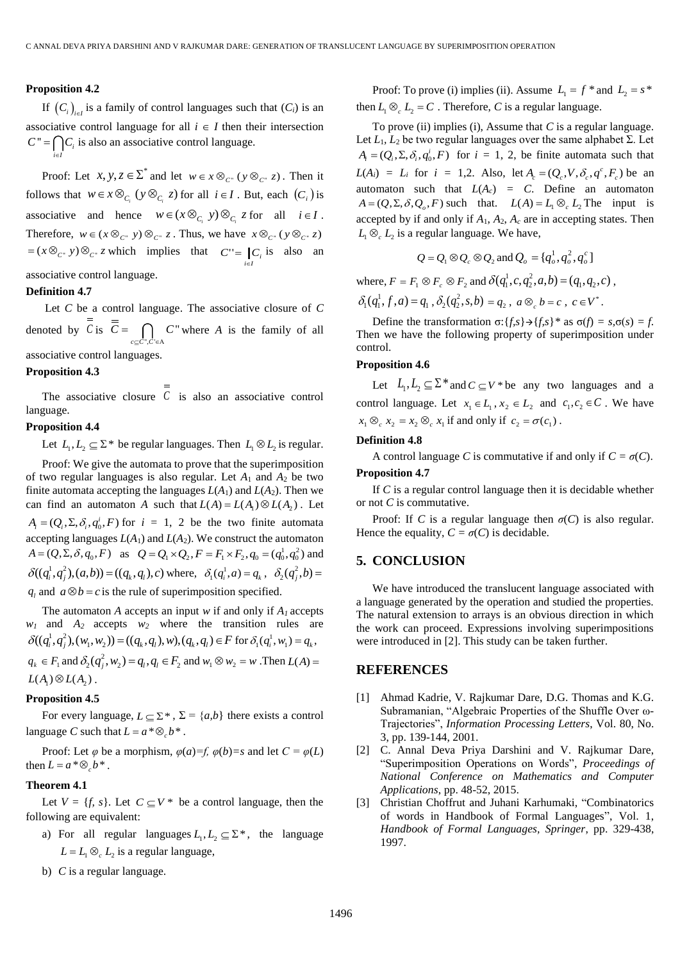# **Proposition 4.2**

If  $(C_i)_{i \in I}$  is a family of control languages such that  $(C_i)$  is an associative control language for all  $i \in I$  then their intersection  $C'' = \bigcap C_i$  is also an associative control language. *i*∈*l* i∈.

Proof: Let  $x, y, z \in \Sigma^*$  and let  $w \in x \otimes_{C^*} (y \otimes_{C^*} z)$ . Then it follows that  $w \in \mathcal{X} \otimes_{C_i} (y \otimes_{C_i} z)$  for all  $i \in I$ . But, each  $(C_i)$  is associative and hence  $w \in (x \otimes_{C_i} y) \otimes_{C_i} z$  for all  $i \in I$ . Therefore,  $w \in (x \otimes_{C^*} y) \otimes_{C^*} z$ . Thus, we have  $x \otimes_{C^*} (y \otimes_{C^*} z)$  $=(x \otimes_{C^*} y) \otimes_{C^*} z$  which implies that  $C' = \bigcup_{i \in I} C_i$  $\vert C_i \vert$  is also an associative control language.

# **Definition 4.7**

Let *C* be a control language. The associative closure of *C* denoted by *C* is  $\cdot$ "  $c \subseteq C$ ",  $C$  $C = \bigcap C$  $\subseteq$ C",C' $\in$ A  $= \bigcap C$  where *A* is the family of all associative control languages.

#### **Proposition 4.3**

The associative closure  $C$  is also an associative control language.

## **Proposition 4.4**

Let  $L_1, L_2 \subseteq \Sigma^*$  be regular languages. Then  $L_1 \otimes L_2$  is regular.

Proof: We give the automata to prove that the superimposition of two regular languages is also regular. Let *A*<sup>1</sup> and *A*<sup>2</sup> be two finite automata accepting the languages  $L(A_1)$  and  $L(A_2)$ . Then we can find an automaton *A* such that  $L(A) = L(A_1) \otimes L(A_2)$ . Let  $A_i = (Q_i, \Sigma, \delta_i, q_0^i, F)$  for  $i = 1, 2$  be the two finite automata accepting languages  $L(A_1)$  and  $L(A_2)$ . We construct the automaton ccepting languages  $L(A_1)$  and  $L(A_2)$ . We construct the automaton<br>  $A = (Q, \Sigma, \delta, q_0, F)$  as  $Q = Q_1 \times Q_2, F = F_1 \times F_2, q_0 = (q_0^1, q_0^2)$  and  $\delta((q_i^1, q_j^2), (a, b)) = ((q_k, q_l), c)$  where,  $\delta_1(q_i^1, a) = q_k$ ,  $\delta_2(q_j^2, b) =$  $q_l$  and  $a \otimes b = c$  is the rule of superimposition specified.

The automaton *A* accepts an input *w* if and only if  $A<sub>l</sub>$  accepts  $w_1$  and  $A_2$  accepts  $w_2$  where the transition rules are *w*<sub>1</sub> and *A*<sub>2</sub> accepts *w*<sub>2</sub> where the transition rules are  $\delta((q_i^1, q_j^2), (w_1, w_2)) = ((q_k, q_l), w), (q_k, q_l) \in F$  for  $\delta_1(q_i^1, w_1) = q_k$ ,  $q_k \in F_1$  and  $\delta_2(q_j^2, w_2) = q_l, q_l \in F_2$  and  $w_1 \otimes w_2 = w$  . Then  $L(A) =$  $L(A_i) \otimes L(A_i)$ .

## **Proposition 4.5**

For every language,  $L \subseteq \Sigma^*$ ,  $\Sigma = \{a,b\}$  there exists a control language *C* such that  $L = a * \otimes_c b^*$ .

Proof: Let  $\varphi$  be a morphism,  $\varphi(a)=f$ ,  $\varphi(b)=s$  and let  $C = \varphi(L)$ then  $L = a * \otimes_c b^*$ .

# **Theorem 4.1**

Let  $V = \{f, s\}$ . Let  $C \subseteq V^*$  be a control language, then the following are equivalent:

- a) For all regular languages  $L_1, L_2 \subseteq \Sigma^*$ , the language  $L = L_1 \otimes_c L_2$  is a regular language,
- b) *C* is a regular language.

Proof: To prove (i) implies (ii). Assume  $L_1 = f *$  and  $L_2 = s *$ then  $L_1 \otimes_c L_2 = C$ . Therefore, *C* is a regular language.

To prove (ii) implies (i), Assume that *C* is a regular language. Let *L*1*, L*<sup>2</sup> be two regular languages over the same alphabet Σ. Let  $A_i = (Q_i, \Sigma, \delta_i, q_0^i, F)$  for  $i = 1, 2$ , be finite automata such that  $L(A_i) = L_i$  for  $i = 1,2$ . Also, let  $A_c = (Q_c, V, \delta_c, q^c, F_c)$  be an automaton such that  $L(A_c) = C$ . Define an automaton  $A = (Q, \Sigma, \delta, Q_o, F)$  such that.  $L(A) = L_1 \otimes_c L_2$  The input is accepted by if and only if  $A_1$ ,  $A_2$ ,  $A_c$  are in accepting states. Then  $L_1 \otimes_c L_2$  is a regular language. We have,

$$
Q = Q_1 \otimes Q_c \otimes Q_2 \text{ and } Q_o = \{q_o^1, q_o^2, q_o^c\}
$$

where,  $F = F_1 \otimes F_c \otimes F_2$  and  $\delta(q_1^1, c, q_2^2, a, b) = (q_1, q_2, c)$ ,  $\delta_1(q_1^1, f, a) = q_1, \delta_2(q_2^2, s, b) = q_2, a \otimes_c b = c, c \in V^*.$ 

Define the transformation  $\sigma$ : {*f,s*}  $\rightarrow$  {*f,s*}<sup>\*</sup> as  $\sigma$ (*f*) = *s*, $\sigma$ (*s*) = *f*. Then we have the following property of superimposition under control.

# **Proposition 4.6**

Let  $L_1, L_2 \subseteq \Sigma^*$  and  $C \subseteq V^*$  be any two languages and a control language. Let  $x_1 \in L_1$ ,  $x_2 \in L_2$  and  $c_1, c_2 \in C$ . We have  $x_1 \otimes_c x_2 = x_2 \otimes_c x_1$  if and only if  $c_2 = \sigma(c_1)$ .

# **Definition 4.8**

A control language *C* is commutative if and only if  $C = \sigma(C)$ .

# **Proposition 4.7**

If *C* is a regular control language then it is decidable whether or not *C* is commutative.

Proof: If *C* is a regular language then  $\sigma(C)$  is also regular. Hence the equality,  $C = \sigma(C)$  is decidable.

# **5. CONCLUSION**

We have introduced the translucent language associated with a language generated by the operation and studied the properties. The natural extension to arrays is an obvious direction in which the work can proceed. Expressions involving superimpositions were introduced in [2]. This study can be taken further.

# **REFERENCES**

- [1] Ahmad Kadrie, V. Rajkumar Dare, D.G. Thomas and K.G. Subramanian, "Algebraic Properties of the Shuffle Over ω-Trajectories", *Information Processing Letters*, Vol. 80, No. 3, pp. 139-144, 2001.
- [2] C. Annal Deva Priya Darshini and V. Rajkumar Dare, "Superimposition Operations on Words", *Proceedings of National Conference on Mathematics and Computer Applications*, pp. 48-52, 2015.
- [3] Christian Choffrut and Juhani Karhumaki, "Combinatorics of words in Handbook of Formal Languages", Vol. 1, *Handbook of Formal Languages, Springer*, pp. 329-438, 1997.